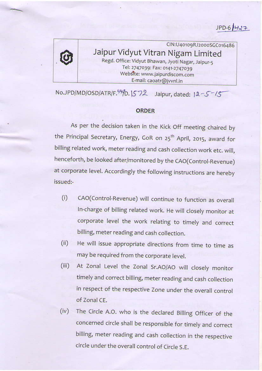$JPD-6/427$ 



## CIN:U40109RJ2000SGC016486 Jaipur Vidyut Vitran Nigam Limited Regd. Office: Vidyut Bhawan, Jyoti Nagar, Jaipur-5 Tel: 2747039: Fax: 0141-2747039 Website: www.jaipurdiscom.com E-mail: caoatr@jvvnl.in

 $No.JPD/MD/OSD/ATR/F.$ <sup>44</sup> $fD.1572$  Jaipur, dated:  $12-5$ <sup>-15</sup>

## **ORDER**

As per the decision taken in the Kick Off meeting chaired by the Principal Secretary, Energy, GoR on 25<sup>th</sup> April, 2015, award for billing related work, meter reading and cash collection work etc. will, henceforth, be looked after/monitored by the CAO(Control-Revenue) at corporate level. Accordingly the following instructions are hereby issued:-

- (i) CAo(control-Revenue) wiit continue to function as overall In-charge of billing related work. He will closely monitor at corporate level the work relating to timely and correct billing, meter reading and cash collection.
- (ii) He will issue appropriate directions from time to time as may be required from the corporate level.
- (iii) At Zonal Level the Zonal Sr.AO/AO will closely monitor timely and correct billing, meter reading and cash collection in respect of the respective Zone under the overall control of Zonal CE.
- (iv) The Circle A.O. who is the declared Billing Officer of the concerned circle shall be responsible for timely and correct billing, meter reading and cash collection in the respective circle under the overall control of Circle S.E.